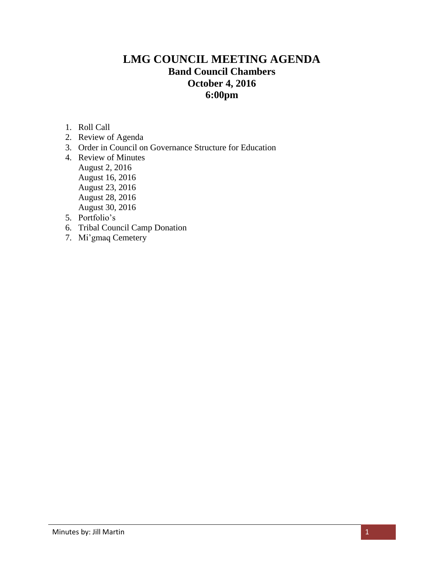# **LMG COUNCIL MEETING AGENDA Band Council Chambers October 4, 2016 6:00pm**

- 1. Roll Call
- 2. Review of Agenda
- 3. Order in Council on Governance Structure for Education
- 4. Review of Minutes August 2, 2016 August 16, 2016 August 23, 2016 August 28, 2016 August 30, 2016
- 5. Portfolio's
- 6. Tribal Council Camp Donation
- 7. Mi'gmaq Cemetery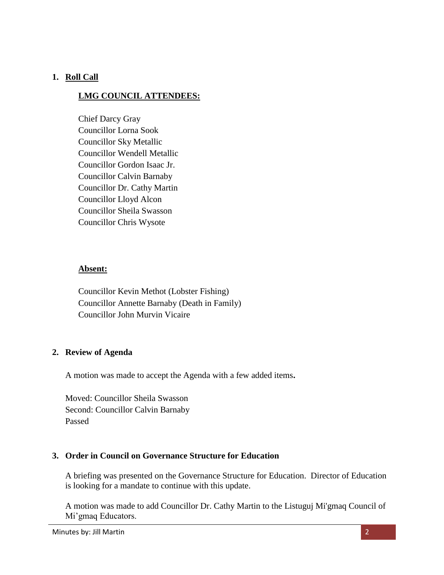# **1. Roll Call**

# **LMG COUNCIL ATTENDEES:**

Chief Darcy Gray Councillor Lorna Sook Councillor Sky Metallic Councillor Wendell Metallic Councillor Gordon Isaac Jr. Councillor Calvin Barnaby Councillor Dr. Cathy Martin Councillor Lloyd Alcon Councillor Sheila Swasson Councillor Chris Wysote

#### **Absent:**

Councillor Kevin Methot (Lobster Fishing) Councillor Annette Barnaby (Death in Family) Councillor John Murvin Vicaire

## **2. Review of Agenda**

A motion was made to accept the Agenda with a few added items**.** 

Moved: Councillor Sheila Swasson Second: Councillor Calvin Barnaby Passed

## **3. Order in Council on Governance Structure for Education**

A briefing was presented on the Governance Structure for Education. Director of Education is looking for a mandate to continue with this update.

A motion was made to add Councillor Dr. Cathy Martin to the Listuguj Mi'gmaq Council of Mi'gmaq Educators.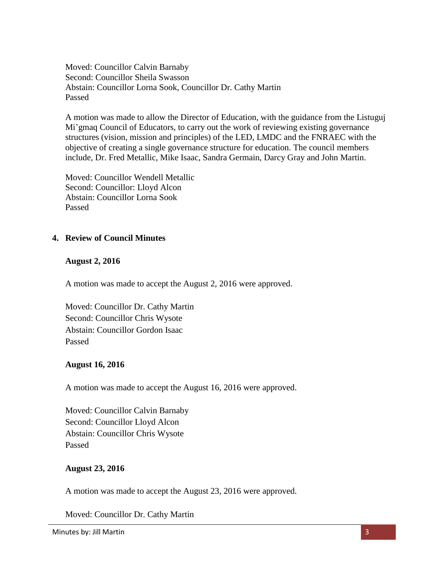Moved: Councillor Calvin Barnaby Second: Councillor Sheila Swasson Abstain: Councillor Lorna Sook, Councillor Dr. Cathy Martin Passed

A motion was made to allow the Director of Education, with the guidance from the Listuguj Mi'gmaq Council of Educators, to carry out the work of reviewing existing governance structures (vision, mission and principles) of the LED, LMDC and the FNRAEC with the objective of creating a single governance structure for education. The council members include, Dr. Fred Metallic, Mike Isaac, Sandra Germain, Darcy Gray and John Martin.

Moved: Councillor Wendell Metallic Second: Councillor: Lloyd Alcon Abstain: Councillor Lorna Sook Passed

## **4. Review of Council Minutes**

## **August 2, 2016**

A motion was made to accept the August 2, 2016 were approved.

Moved: Councillor Dr. Cathy Martin Second: Councillor Chris Wysote Abstain: Councillor Gordon Isaac Passed

#### **August 16, 2016**

A motion was made to accept the August 16, 2016 were approved.

Moved: Councillor Calvin Barnaby Second: Councillor Lloyd Alcon Abstain: Councillor Chris Wysote Passed

## **August 23, 2016**

A motion was made to accept the August 23, 2016 were approved.

Moved: Councillor Dr. Cathy Martin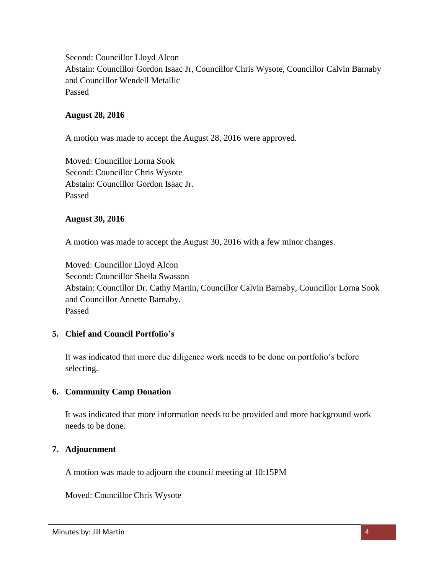Second: Councillor Lloyd Alcon Abstain: Councillor Gordon Isaac Jr, Councillor Chris Wysote, Councillor Calvin Barnaby and Councillor Wendell Metallic Passed

### **August 28, 2016**

A motion was made to accept the August 28, 2016 were approved.

Moved: Councillor Lorna Sook Second: Councillor Chris Wysote Abstain: Councillor Gordon Isaac Jr. Passed

#### **August 30, 2016**

A motion was made to accept the August 30, 2016 with a few minor changes.

Moved: Councillor Lloyd Alcon Second: Councillor Sheila Swasson Abstain: Councillor Dr. Cathy Martin, Councillor Calvin Barnaby, Councillor Lorna Sook and Councillor Annette Barnaby. Passed

## **5. Chief and Council Portfolio's**

It was indicated that more due diligence work needs to be done on portfolio's before selecting.

## **6. Community Camp Donation**

It was indicated that more information needs to be provided and more background work needs to be done.

#### **7. Adjournment**

A motion was made to adjourn the council meeting at 10:15PM

Moved: Councillor Chris Wysote